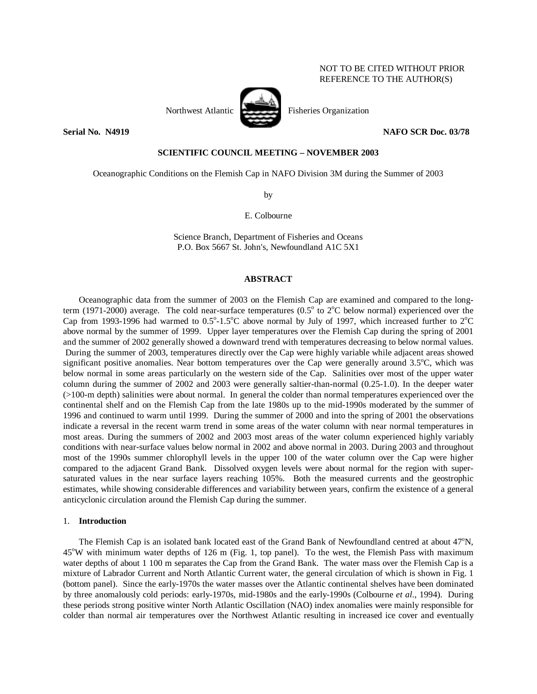# NOT TO BE CITED WITHOUT PRIOR REFERENCE TO THE AUTHOR(S)

# **Serial No. N4919 NAFO SCR Doc. 03/78**

# **SCIENTIFIC COUNCIL MEETING – NOVEMBER 2003**

Oceanographic Conditions on the Flemish Cap in NAFO Division 3M during the Summer of 2003

by

E. Colbourne

Science Branch, Department of Fisheries and Oceans P.O. Box 5667 St. John's, Newfoundland A1C 5X1

### **ABSTRACT**

 Oceanographic data from the summer of 2003 on the Flemish Cap are examined and compared to the longterm (1971-2000) average. The cold near-surface temperatures (0.5 $\degree$  to 2 $\degree$ C below normal) experienced over the Cap from 1993-1996 had warmed to  $0.5^{\circ}$ -1.5°C above normal by July of 1997, which increased further to  $2^{\circ}$ C above normal by the summer of 1999. Upper layer temperatures over the Flemish Cap during the spring of 2001 and the summer of 2002 generally showed a downward trend with temperatures decreasing to below normal values. During the summer of 2003, temperatures directly over the Cap were highly variable while adjacent areas showed significant positive anomalies. Near bottom temperatures over the Cap were generally around 3.5°C, which was below normal in some areas particularly on the western side of the Cap. Salinities over most of the upper water column during the summer of 2002 and 2003 were generally saltier-than-normal (0.25-1.0). In the deeper water (>100-m depth) salinities were about normal. In general the colder than normal temperatures experienced over the continental shelf and on the Flemish Cap from the late 1980s up to the mid-1990s moderated by the summer of 1996 and continued to warm until 1999. During the summer of 2000 and into the spring of 2001 the observations indicate a reversal in the recent warm trend in some areas of the water column with near normal temperatures in most areas. During the summers of 2002 and 2003 most areas of the water column experienced highly variably conditions with near-surface values below normal in 2002 and above normal in 2003. During 2003 and throughout most of the 1990s summer chlorophyll levels in the upper 100 of the water column over the Cap were higher compared to the adjacent Grand Bank. Dissolved oxygen levels were about normal for the region with supersaturated values in the near surface layers reaching 105%. Both the measured currents and the geostrophic estimates, while showing considerable differences and variability between years, confirm the existence of a general anticyclonic circulation around the Flemish Cap during the summer.

# 1. **Introduction**

The Flemish Cap is an isolated bank located east of the Grand Bank of Newfoundland centred at about 47°N, 45°W with minimum water depths of 126 m (Fig. 1, top panel). To the west, the Flemish Pass with maximum water depths of about 1 100 m separates the Cap from the Grand Bank. The water mass over the Flemish Cap is a mixture of Labrador Current and North Atlantic Current water, the general circulation of which is shown in Fig. 1 (bottom panel). Since the early-1970s the water masses over the Atlantic continental shelves have been dominated by three anomalously cold periods: early-1970s, mid-1980s and the early-1990s (Colbourne *et al*., 1994). During these periods strong positive winter North Atlantic Oscillation (NAO) index anomalies were mainly responsible for colder than normal air temperatures over the Northwest Atlantic resulting in increased ice cover and eventually

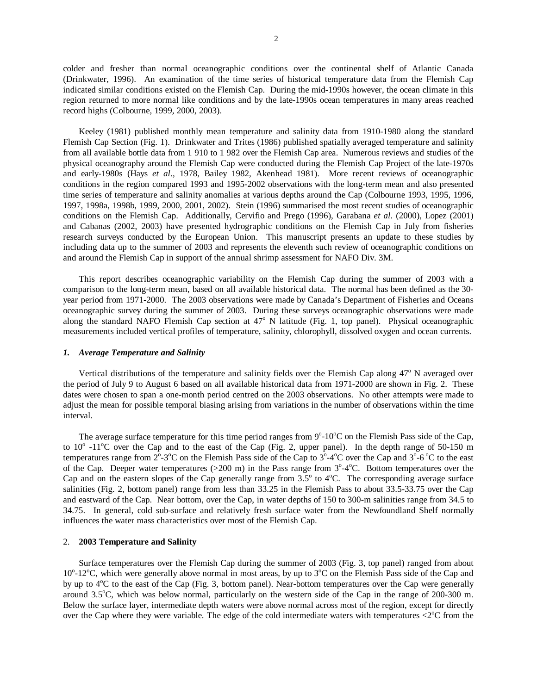colder and fresher than normal oceanographic conditions over the continental shelf of Atlantic Canada (Drinkwater, 1996). An examination of the time series of historical temperature data from the Flemish Cap indicated similar conditions existed on the Flemish Cap. During the mid-1990s however, the ocean climate in this region returned to more normal like conditions and by the late-1990s ocean temperatures in many areas reached record highs (Colbourne, 1999, 2000, 2003).

 Keeley (1981) published monthly mean temperature and salinity data from 1910-1980 along the standard Flemish Cap Section (Fig. 1). Drinkwater and Trites (1986) published spatially averaged temperature and salinity from all available bottle data from 1 910 to 1 982 over the Flemish Cap area. Numerous reviews and studies of the physical oceanography around the Flemish Cap were conducted during the Flemish Cap Project of the late-1970s and early-1980s (Hays *et al*., 1978, Bailey 1982, Akenhead 1981). More recent reviews of oceanographic conditions in the region compared 1993 and 1995-2002 observations with the long-term mean and also presented time series of temperature and salinity anomalies at various depths around the Cap (Colbourne 1993, 1995, 1996, 1997, 1998a, 1998b, 1999, 2000, 2001, 2002). Stein (1996) summarised the most recent studies of oceanographic conditions on the Flemish Cap. Additionally, Cervifio and Prego (1996), Garabana *et al*. (2000), Lopez (2001) and Cabanas (2002, 2003) have presented hydrographic conditions on the Flemish Cap in July from fisheries research surveys conducted by the European Union. This manuscript presents an update to these studies by including data up to the summer of 2003 and represents the eleventh such review of oceanographic conditions on and around the Flemish Cap in support of the annual shrimp assessment for NAFO Div. 3M.

 This report describes oceanographic variability on the Flemish Cap during the summer of 2003 with a comparison to the long-term mean, based on all available historical data. The normal has been defined as the 30 year period from 1971-2000. The 2003 observations were made by Canada's Department of Fisheries and Oceans oceanographic survey during the summer of 2003. During these surveys oceanographic observations were made along the standard NAFO Flemish Cap section at  $47^{\circ}$  N latitude (Fig. 1, top panel). Physical oceanographic measurements included vertical profiles of temperature, salinity, chlorophyll, dissolved oxygen and ocean currents.

## *1. Average Temperature and Salinity*

Vertical distributions of the temperature and salinity fields over the Flemish Cap along  $47^{\circ}$  N averaged over the period of July 9 to August 6 based on all available historical data from 1971-2000 are shown in Fig. 2. These dates were chosen to span a one-month period centred on the 2003 observations. No other attempts were made to adjust the mean for possible temporal biasing arising from variations in the number of observations within the time interval.

The average surface temperature for this time period ranges from  $9^{\circ}$ -10 $^{\circ}$ C on the Flemish Pass side of the Cap, to  $10^{\circ}$  -11<sup>o</sup>C over the Cap and to the east of the Cap (Fig. 2, upper panel). In the depth range of 50-150 m temperatures range from  $2^{\circ}$ -3<sup>o</sup>C on the Flemish Pass side of the Cap to  $3^{\circ}$ -4<sup>o</sup>C over the Cap and  $3^{\circ}$ -6<sup>o</sup>C to the east of the Cap. Deeper water temperatures  $(>200 \text{ m})$  in the Pass range from  $3^{\circ}$ -4 $^{\circ}$ C. Bottom temperatures over the Cap and on the eastern slopes of the Cap generally range from  $3.5^{\circ}$  to  $4^{\circ}$ C. The corresponding average surface salinities (Fig. 2, bottom panel) range from less than 33.25 in the Flemish Pass to about 33.5-33.75 over the Cap and eastward of the Cap. Near bottom, over the Cap, in water depths of 150 to 300-m salinities range from 34.5 to 34.75. In general, cold sub-surface and relatively fresh surface water from the Newfoundland Shelf normally influences the water mass characteristics over most of the Flemish Cap.

# 2. **2003 Temperature and Salinity**

 Surface temperatures over the Flemish Cap during the summer of 2003 (Fig. 3, top panel) ranged from about 10°-12°C, which were generally above normal in most areas, by up to 3°C on the Flemish Pass side of the Cap and by up to 4<sup>o</sup>C to the east of the Cap (Fig. 3, bottom panel). Near-bottom temperatures over the Cap were generally around 3.5°C, which was below normal, particularly on the western side of the Cap in the range of 200-300 m. Below the surface layer, intermediate depth waters were above normal across most of the region, except for directly over the Cap where they were variable. The edge of the cold intermediate waters with temperatures  $\langle 2^{\circ}$ C from the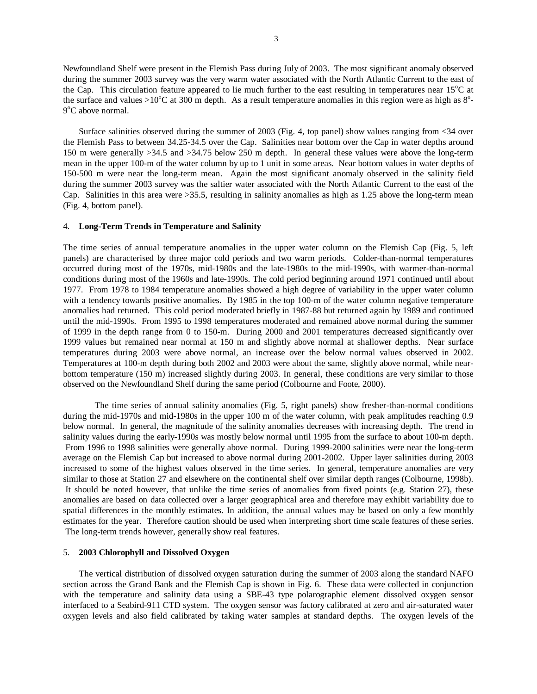Newfoundland Shelf were present in the Flemish Pass during July of 2003. The most significant anomaly observed during the summer 2003 survey was the very warm water associated with the North Atlantic Current to the east of the Cap. This circulation feature appeared to lie much further to the east resulting in temperatures near  $15^{\circ}$ C at the surface and values >10°C at 300 m depth. As a result temperature anomalies in this region were as high as  $8^\circ$ -9<sup>o</sup>C above normal.

 Surface salinities observed during the summer of 2003 (Fig. 4, top panel) show values ranging from <34 over the Flemish Pass to between 34.25-34.5 over the Cap. Salinities near bottom over the Cap in water depths around 150 m were generally >34.5 and >34.75 below 250 m depth. In general these values were above the long-term mean in the upper 100-m of the water column by up to 1 unit in some areas. Near bottom values in water depths of 150-500 m were near the long-term mean. Again the most significant anomaly observed in the salinity field during the summer 2003 survey was the saltier water associated with the North Atlantic Current to the east of the Cap. Salinities in this area were  $>35.5$ , resulting in salinity anomalies as high as 1.25 above the long-term mean (Fig. 4, bottom panel).

## 4. **Long-Term Trends in Temperature and Salinity**

The time series of annual temperature anomalies in the upper water column on the Flemish Cap (Fig. 5, left panels) are characterised by three major cold periods and two warm periods. Colder-than-normal temperatures occurred during most of the 1970s, mid-1980s and the late-1980s to the mid-1990s, with warmer-than-normal conditions during most of the 1960s and late-1990s. The cold period beginning around 1971 continued until about 1977. From 1978 to 1984 temperature anomalies showed a high degree of variability in the upper water column with a tendency towards positive anomalies. By 1985 in the top 100-m of the water column negative temperature anomalies had returned. This cold period moderated briefly in 1987-88 but returned again by 1989 and continued until the mid-1990s. From 1995 to 1998 temperatures moderated and remained above normal during the summer of 1999 in the depth range from 0 to 150-m. During 2000 and 2001 temperatures decreased significantly over 1999 values but remained near normal at 150 m and slightly above normal at shallower depths. Near surface temperatures during 2003 were above normal, an increase over the below normal values observed in 2002. Temperatures at 100-m depth during both 2002 and 2003 were about the same, slightly above normal, while nearbottom temperature (150 m) increased slightly during 2003. In general, these conditions are very similar to those observed on the Newfoundland Shelf during the same period (Colbourne and Foote, 2000).

The time series of annual salinity anomalies (Fig. 5, right panels) show fresher-than-normal conditions during the mid-1970s and mid-1980s in the upper 100 m of the water column, with peak amplitudes reaching 0.9 below normal. In general, the magnitude of the salinity anomalies decreases with increasing depth. The trend in salinity values during the early-1990s was mostly below normal until 1995 from the surface to about 100-m depth. From 1996 to 1998 salinities were generally above normal. During 1999-2000 salinities were near the long-term average on the Flemish Cap but increased to above normal during 2001-2002. Upper layer salinities during 2003 increased to some of the highest values observed in the time series. In general, temperature anomalies are very similar to those at Station 27 and elsewhere on the continental shelf over similar depth ranges (Colbourne, 1998b). It should be noted however, that unlike the time series of anomalies from fixed points (e.g. Station 27), these anomalies are based on data collected over a larger geographical area and therefore may exhibit variability due to spatial differences in the monthly estimates. In addition, the annual values may be based on only a few monthly estimates for the year. Therefore caution should be used when interpreting short time scale features of these series. The long-term trends however, generally show real features.

# 5.**2003 Chlorophyll and Dissolved Oxygen**

 The vertical distribution of dissolved oxygen saturation during the summer of 2003 along the standard NAFO section across the Grand Bank and the Flemish Cap is shown in Fig. 6. These data were collected in conjunction with the temperature and salinity data using a SBE-43 type polarographic element dissolved oxygen sensor interfaced to a Seabird-911 CTD system. The oxygen sensor was factory calibrated at zero and air-saturated water oxygen levels and also field calibrated by taking water samples at standard depths. The oxygen levels of the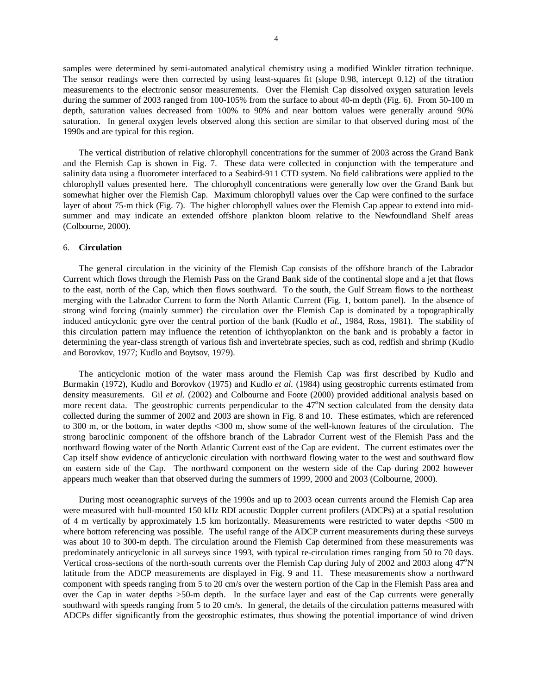samples were determined by semi-automated analytical chemistry using a modified Winkler titration technique. The sensor readings were then corrected by using least-squares fit (slope 0.98, intercept 0.12) of the titration measurements to the electronic sensor measurements. Over the Flemish Cap dissolved oxygen saturation levels during the summer of 2003 ranged from 100-105% from the surface to about 40-m depth (Fig. 6). From 50-100 m depth, saturation values decreased from 100% to 90% and near bottom values were generally around 90% saturation. In general oxygen levels observed along this section are similar to that observed during most of the 1990s and are typical for this region.

 The vertical distribution of relative chlorophyll concentrations for the summer of 2003 across the Grand Bank and the Flemish Cap is shown in Fig. 7. These data were collected in conjunction with the temperature and salinity data using a fluorometer interfaced to a Seabird-911 CTD system. No field calibrations were applied to the chlorophyll values presented here. The chlorophyll concentrations were generally low over the Grand Bank but somewhat higher over the Flemish Cap. Maximum chlorophyll values over the Cap were confined to the surface layer of about 75-m thick (Fig. 7). The higher chlorophyll values over the Flemish Cap appear to extend into midsummer and may indicate an extended offshore plankton bloom relative to the Newfoundland Shelf areas (Colbourne, 2000).

#### 6. **Circulation**

 The general circulation in the vicinity of the Flemish Cap consists of the offshore branch of the Labrador Current which flows through the Flemish Pass on the Grand Bank side of the continental slope and a jet that flows to the east, north of the Cap, which then flows southward. To the south, the Gulf Stream flows to the northeast merging with the Labrador Current to form the North Atlantic Current (Fig. 1, bottom panel). In the absence of strong wind forcing (mainly summer) the circulation over the Flemish Cap is dominated by a topographically induced anticyclonic gyre over the central portion of the bank (Kudlo *et al*., 1984, Ross, 1981). The stability of this circulation pattern may influence the retention of ichthyoplankton on the bank and is probably a factor in determining the year-class strength of various fish and invertebrate species, such as cod, redfish and shrimp (Kudlo and Borovkov, 1977; Kudlo and Boytsov, 1979).

 The anticyclonic motion of the water mass around the Flemish Cap was first described by Kudlo and Burmakin (1972), Kudlo and Borovkov (1975) and Kudlo *et al.* (1984) using geostrophic currents estimated from density measurements. Gil *et al.* (2002) and Colbourne and Foote (2000) provided additional analysis based on more recent data. The geostrophic currents perpendicular to the 47°N section calculated from the density data collected during the summer of 2002 and 2003 are shown in Fig. 8 and 10. These estimates, which are referenced to 300 m, or the bottom, in water depths <300 m, show some of the well-known features of the circulation. The strong baroclinic component of the offshore branch of the Labrador Current west of the Flemish Pass and the northward flowing water of the North Atlantic Current east of the Cap are evident. The current estimates over the Cap itself show evidence of anticyclonic circulation with northward flowing water to the west and southward flow on eastern side of the Cap. The northward component on the western side of the Cap during 2002 however appears much weaker than that observed during the summers of 1999, 2000 and 2003 (Colbourne, 2000).

 During most oceanographic surveys of the 1990s and up to 2003 ocean currents around the Flemish Cap area were measured with hull-mounted 150 kHz RDI acoustic Doppler current profilers (ADCPs) at a spatial resolution of 4 m vertically by approximately 1.5 km horizontally. Measurements were restricted to water depths <500 m where bottom referencing was possible. The useful range of the ADCP current measurements during these surveys was about 10 to 300-m depth. The circulation around the Flemish Cap determined from these measurements was predominately anticyclonic in all surveys since 1993, with typical re-circulation times ranging from 50 to 70 days. Vertical cross-sections of the north-south currents over the Flemish Cap during July of 2002 and 2003 along 47°N latitude from the ADCP measurements are displayed in Fig. 9 and 11. These measurements show a northward component with speeds ranging from 5 to 20 cm/s over the western portion of the Cap in the Flemish Pass area and over the Cap in water depths >50-m depth. In the surface layer and east of the Cap currents were generally southward with speeds ranging from 5 to 20 cm/s. In general, the details of the circulation patterns measured with ADCPs differ significantly from the geostrophic estimates, thus showing the potential importance of wind driven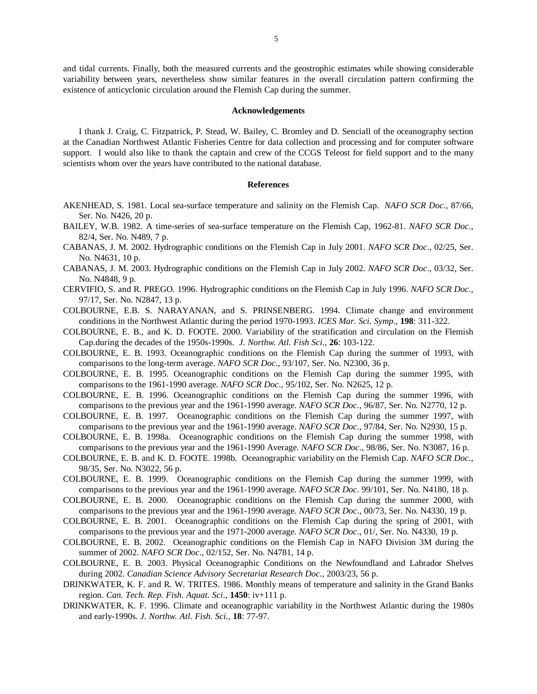and tidal currents. Finally, both the measured currents and the geostrophic estimates while showing considerable variability between years, nevertheless show similar features in the overall circulation pattern confirming the existence of anticyclonic circulation around the Flemish Cap during the summer.

#### **Acknowledgements**

 I thank J. Craig, C. Fitzpatrick, P. Stead, W. Bailey, C. Bromley and D. Senciall of the oceanography section at the Canadian Northwest Atlantic Fisheries Centre for data collection and processing and for computer software support. I would also like to thank the captain and crew of the CCGS Teleost for field support and to the many scientists whom over the years have contributed to the national database.

#### **References**

- AKENHEAD, S. 1981. Local sea-surface temperature and salinity on the Flemish Cap. *NAFO SCR Doc*., 87/66, Ser. No. N426, 20 p.
- BAILEY, W.B. 1982. A time-series of sea-surface temperature on the Flemish Cap, 1962-81. *NAFO SCR Doc*., 82/4, Ser. No. N489, 7 p.
- CABANAS, J. M. 2002. Hydrographic conditions on the Flemish Cap in July 2001. *NAFO SCR Doc*., 02/25, Ser. No. N4631, 10 p.
- CABANAS, J. M. 2003. Hydrographic conditions on the Flemish Cap in July 2002. *NAFO SCR Doc*., 03/32, Ser. No. N4848, 9 p.
- CERVIFIO, S. and R. PREGO. 1996. Hydrographic conditions on the Flemish Cap in July 1996. *NAFO SCR Doc*., 97/17, Ser. No. N2847, 13 p.
- COLBOURNE, E.B. S. NARAYANAN, and S. PRINSENBERG. 1994. Climate change and environment conditions in the Northwest Atlantic during the period 1970-1993. *ICES Mar. Sci. Symp*., **198**: 311-322.
- COLBOURNE, E. B., and K. D. FOOTE. 2000. Variability of the stratification and circulation on the Flemish Cap.during the decades of the 1950s-1990s. *J. Northw. Atl. Fish Sci*., **26**: 103-122.
- COLBOURNE, E. B. 1993. Oceanographic conditions on the Flemish Cap during the summer of 1993, with comparisons to the long-term average. *NAFO SCR Doc*., 93/107, Ser. No. N2300, 36 p.
- COLBOURNE, E. B. 1995. Oceanographic conditions on the Flemish Cap during the summer 1995, with comparisons to the 1961-1990 average. *NAFO SCR Doc*., 95/102, Ser. No. N2625, 12 p.
- COLBOURNE, E. B. 1996. Oceanographic conditions on the Flemish Cap during the summer 1996, with comparisons to the previous year and the 1961-1990 average. *NAFO SCR Doc*., 96/87, Ser. No. N2770, 12 p.
- COLBOURNE, E. B. 1997. Oceanographic conditions on the Flemish Cap during the summer 1997, with comparisons to the previous year and the 1961-1990 average. *NAFO SCR Doc*., 97/84, Ser. No. N2930, 15 p.
- COLBOURNE, E. B. 1998a. Oceanographic conditions on the Flemish Cap during the summer 1998, with comparisons to the previous year and the 1961-1990 Average. *NAFO SCR Doc*., 98/86, Ser. No. N3087, 16 p.
- COLBOURNE, E. B. and K. D. FOOTE. 1998b. Oceanographic variability on the Flemish Cap. *NAFO SCR Doc*., 98/35, Ser. No. N3022, 56 p.
- COLBOURNE, E. B. 1999. Oceanographic conditions on the Flemish Cap during the summer 1999, with comparisons to the previous year and the 1961-1990 average. *NAFO SCR Doc*. 99/101, Ser. No. N4180, 18 p.
- COLBOURNE, E. B. 2000. Oceanographic conditions on the Flemish Cap during the summer 2000, with comparisons to the previous year and the 1961-1990 average. *NAFO SCR Doc*., 00/73, Ser. No. N4330, 19 p.
- COLBOURNE, E. B. 2001. Oceanographic conditions on the Flemish Cap during the spring of 2001, with comparisons to the previous year and the 1971-2000 average. *NAFO SCR Doc*., 01/, Ser. No. N4330, 19 p.
- COLBOURNE, E. B. 2002. Oceanographic conditions on the Flemish Cap in NAFO Division 3M during the summer of 2002. *NAFO SCR Doc*., 02/152, Ser. No. N4781, 14 p.
- COLBOURNE, E. B. 2003. Physical Oceanographic Conditions on the Newfoundland and Labrador Shelves during 2002. *Canadian Science Advisory Secretariat Research Doc*., 2003/23, 56 p.
- DRINKWATER, K. F. and R. W. TRITES. 1986. Monthly means of temperature and salinity in the Grand Banks region. *Can. Tech. Rep. Fish. Aquat. Sci*., **1450**: iv+111 p.
- DRINKWATER, K. F. 1996. Climate and oceanographic variability in the Northwest Atlantic during the 1980s and early-1990s. *J. Northw. Atl. Fish. Sci*., **18**: 77-97.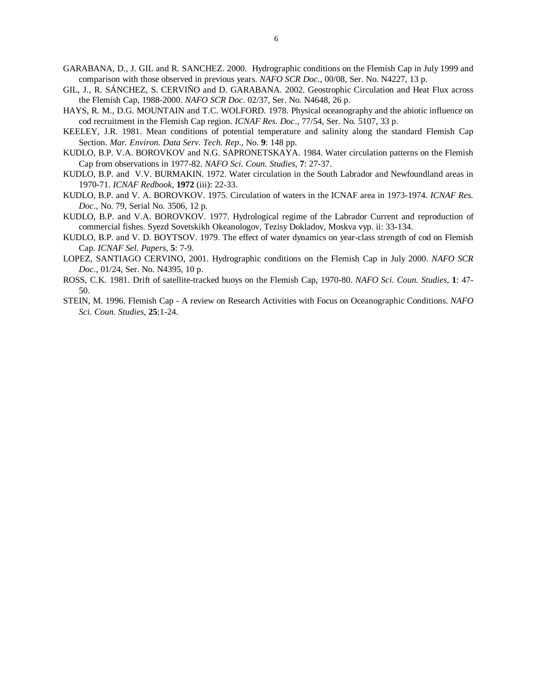- GARABANA, D., J. GIL and R. SANCHEZ. 2000. Hydrographic conditions on the Flemish Cap in July 1999 and comparison with those observed in previous years. *NAFO SCR Doc*., 00/08, Ser. No. N4227, 13 p.
- GIL, J., R. SÁNCHEZ, S. CERVIÑO and D. GARABANA. 2002. Geostrophic Circulation and Heat Flux across the Flemish Cap, 1988-2000. *NAFO SCR Doc*. 02/37, Ser. No. N4648, 26 p.
- HAYS, R. M., D.G. MOUNTAIN and T.C. WOLFORD. 1978. Physical oceanography and the abiotic influence on cod recruitment in the Flemish Cap region. *ICNAF Res. Doc*., 77/54, Ser. No. 5107, 33 p.
- KEELEY, J.R. 1981. Mean conditions of potential temperature and salinity along the standard Flemish Cap Section. *Mar. Environ. Data Serv. Tech. Rep*., No. **9**: 148 pp.
- KUDLO, B.P. V.A. BOROVKOV and N.G. SAPRONETSKAYA. 1984. Water circulation patterns on the Flemish Cap from observations in 1977-82. *NAFO Sci. Coun. Studies*, **7**: 27-37.
- KUDLO, B.P. and V.V. BURMAKIN. 1972. Water circulation in the South Labrador and Newfoundland areas in 1970-71. *ICNAF Redbook*, **1972** (iii): 22-33.
- KUDLO, B.P. and V. A. BOROVKOV. 1975. Circulation of waters in the ICNAF area in 1973-1974. *ICNAF Res. Doc*., No. 79, Serial No. 3506, 12 p.
- KUDLO, B.P. and V.A. BOROVKOV. 1977. Hydrological regime of the Labrador Current and reproduction of commercial fishes. Syezd Sovetskikh Okeanologov, Tezisy Dokladov, Moskva vyp. ii: 33-134.
- KUDLO, B.P. and V. D. BOYTSOV. 1979. The effect of water dynamics on year-class strength of cod on Flemish Cap. *ICNAF Sel. Papers*, **5**: 7-9.
- LOPEZ, SANTIAGO CERVINO, 2001. Hydrographic conditions on the Flemish Cap in July 2000. *NAFO SCR Doc*., 01/24, Ser. No. N4395, 10 p.
- ROSS, C.K. 1981. Drift of satellite-tracked buoys on the Flemish Cap, 1970-80. *NAFO Sci. Coun. Studies*, **1**: 47- 50.
- STEIN, M. 1996. Flemish Cap A review on Research Activities with Focus on Oceanographic Conditions. *NAFO Sci. Coun. Studies*, **25**:1-24.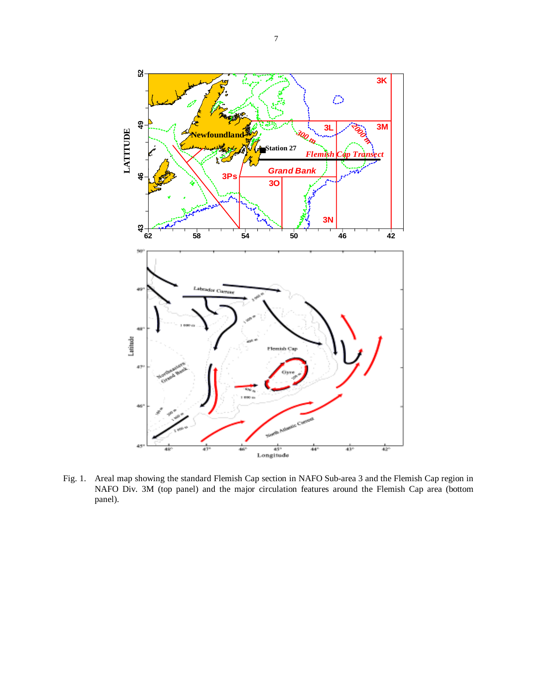

Fig. 1. Areal map showing the standard Flemish Cap section in NAFO Sub-area 3 and the Flemish Cap region in NAFO Div. 3M (top panel) and the major circulation features around the Flemish Cap area (bottom panel).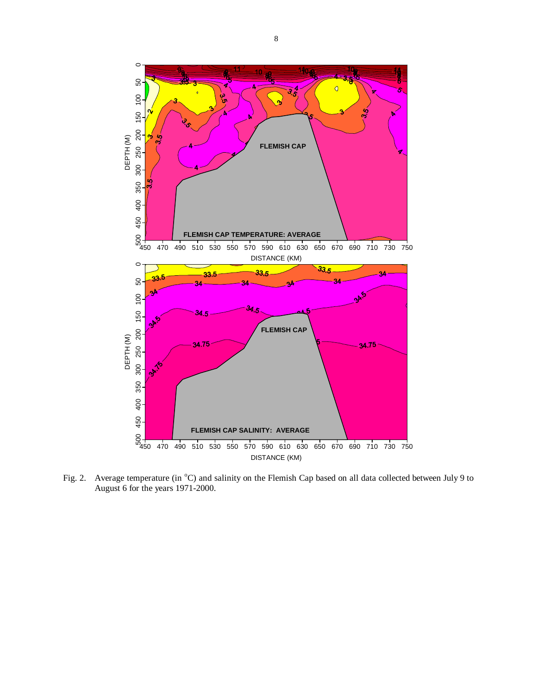

Fig. 2. Average temperature (in °C) and salinity on the Flemish Cap based on all data collected between July 9 to August 6 for the years 1971-2000.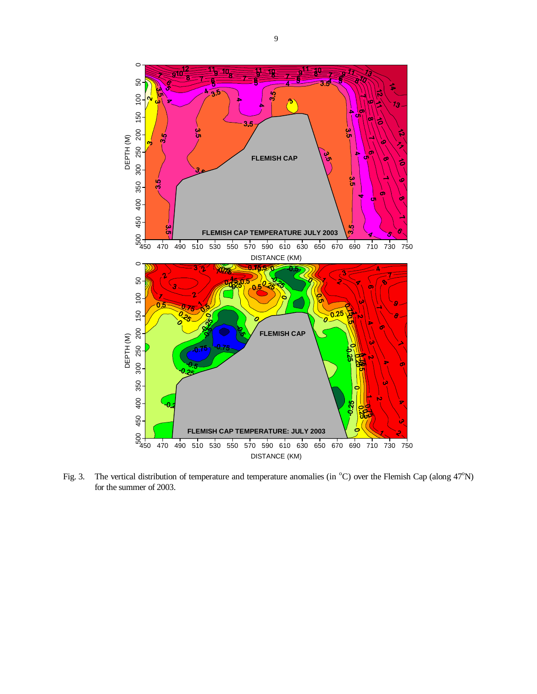

Fig. 3. The vertical distribution of temperature and temperature anomalies (in  $^{\circ}$ C) over the Flemish Cap (along 47 $^{\circ}$ N) for the summer of 2003.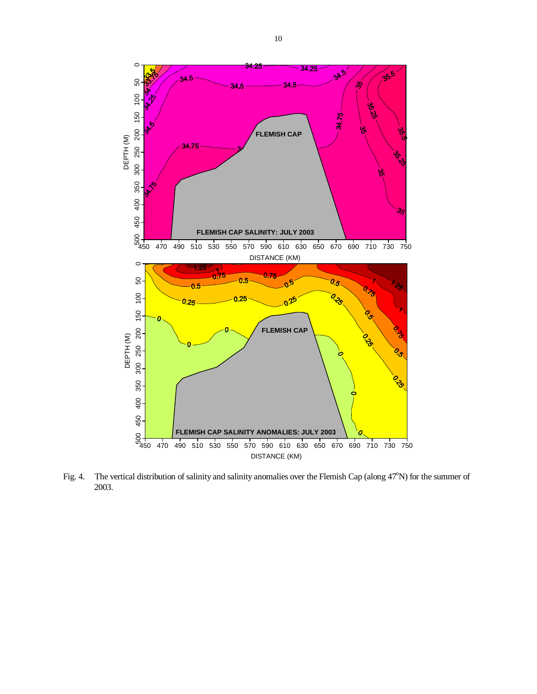

Fig. 4. The vertical distribution of salinity and salinity anomalies over the Flemish Cap (along 47°N) for the summer of 2003.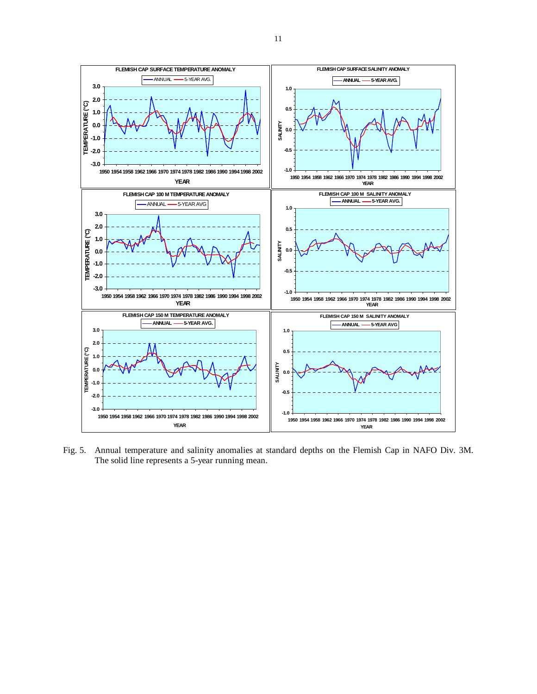

Fig. 5. Annual temperature and salinity anomalies at standard depths on the Flemish Cap in NAFO Div. 3M. The solid line represents a 5-year running mean.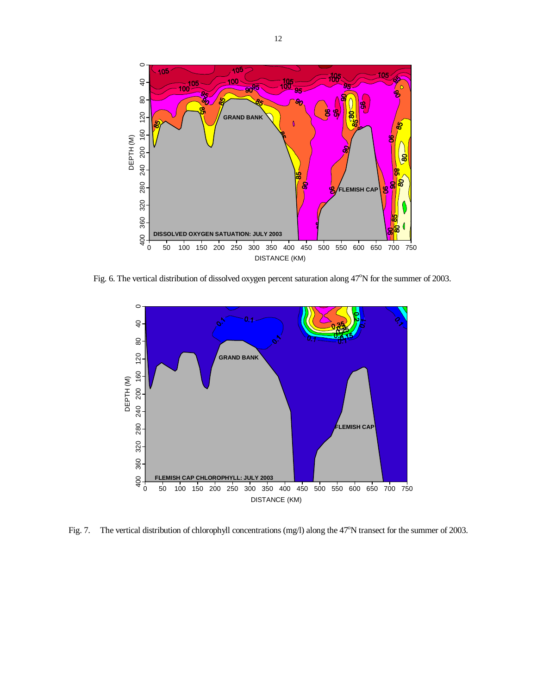![](_page_11_Figure_0.jpeg)

Fig. 6. The vertical distribution of dissolved oxygen percent saturation along 47°N for the summer of 2003.

![](_page_11_Figure_2.jpeg)

Fig. 7. The vertical distribution of chlorophyll concentrations (mg/l) along the 47°N transect for the summer of 2003.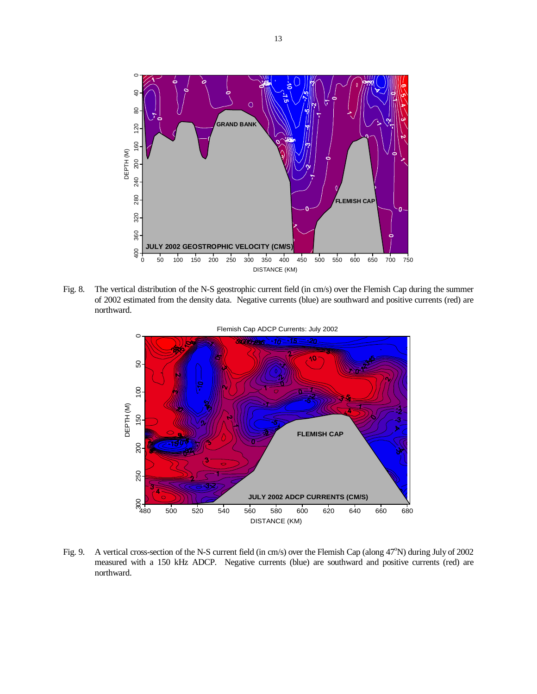![](_page_12_Figure_0.jpeg)

Fig. 8. The vertical distribution of the N-S geostrophic current field (in cm/s) over the Flemish Cap during the summer of 2002 estimated from the density data. Negative currents (blue) are southward and positive currents (red) are northward.

![](_page_12_Figure_2.jpeg)

Fig. 9. A vertical cross-section of the N-S current field (in cm/s) over the Flemish Cap (along 47°N) during July of 2002 measured with a 150 kHz ADCP. Negative currents (blue) are southward and positive currents (red) are northward.